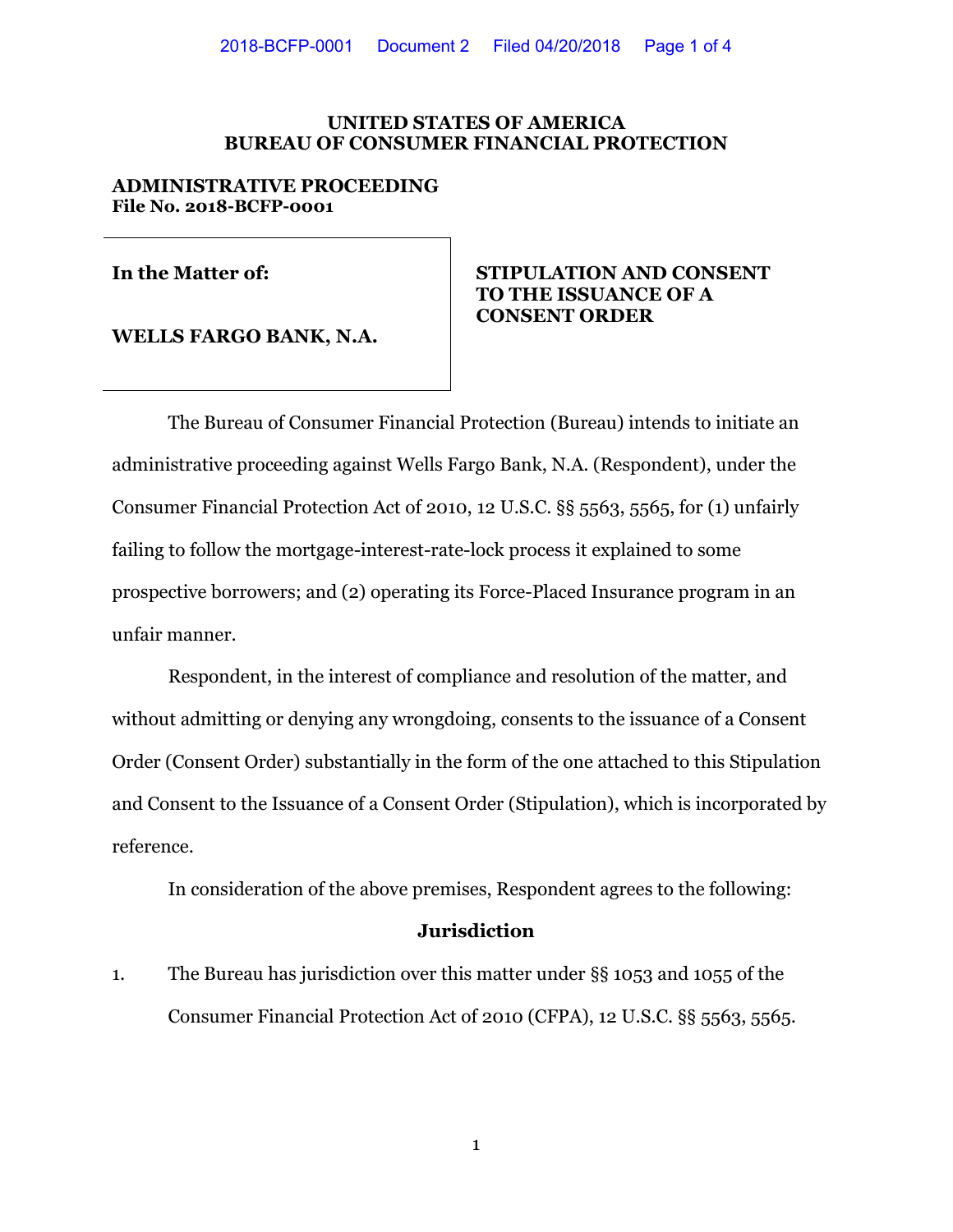### **UNITED STATES OF AMERICA BUREAU OF CONSUMER FINANCIAL PROTECTION**

### **ADMINISTRATIVE PROCEEDING File No. 2018-BCFP-0001**

**WELLS FARGO BANK, N.A.**

# **In the Matter of: STIPULATION AND CONSENT TO THE ISSUANCE OF A CONSENT ORDER**

The Bureau of Consumer Financial Protection (Bureau) intends to initiate an administrative proceeding against Wells Fargo Bank, N.A. (Respondent), under the Consumer Financial Protection Act of 2010, 12 U.S.C. §§ 5563, 5565, for (1) unfairly failing to follow the mortgage-interest-rate-lock process it explained to some prospective borrowers; and (2) operating its Force-Placed Insurance program in an unfair manner.

Respondent, in the interest of compliance and resolution of the matter, and without admitting or denying any wrongdoing, consents to the issuance of a Consent Order (Consent Order) substantially in the form of the one attached to this Stipulation and Consent to the Issuance of a Consent Order (Stipulation), which is incorporated by reference.

In consideration of the above premises, Respondent agrees to the following:

## **Jurisdiction**

1. The Bureau has jurisdiction over this matter under §§ 1053 and 1055 of the Consumer Financial Protection Act of 2010 (CFPA), 12 U.S.C. §§ 5563, 5565.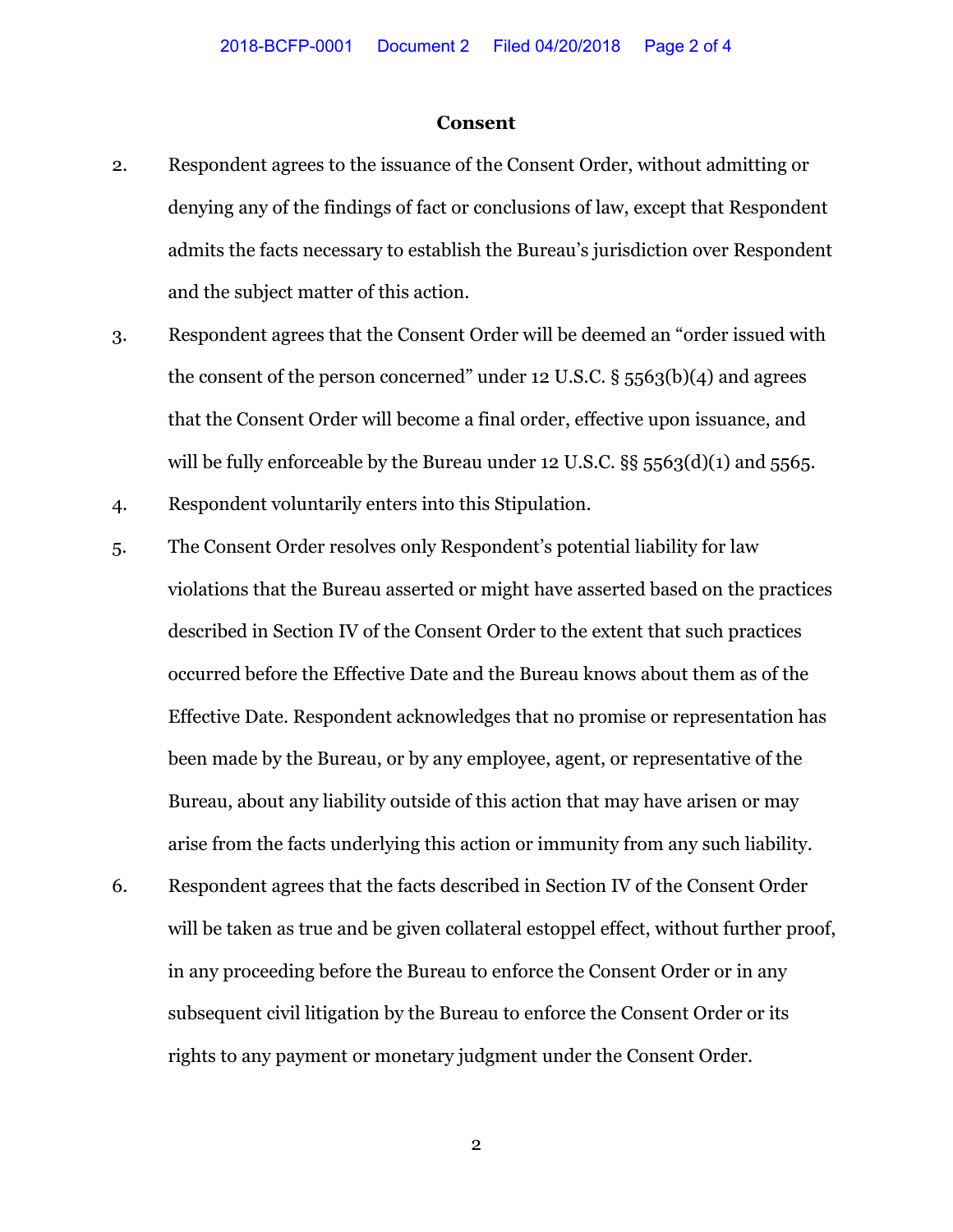#### **Consent**

- 2. Respondent agrees to the issuance of the Consent Order, without admitting or denying any of the findings of fact or conclusions of law, except that Respondent admits the facts necessary to establish the Bureau's jurisdiction over Respondent and the subject matter of this action.
- 3. Respondent agrees that the Consent Order will be deemed an "order issued with the consent of the person concerned" under 12 U.S.C.  $\S$  5563(b)(4) and agrees that the Consent Order will become a final order, effective upon issuance, and will be fully enforceable by the Bureau under 12 U.S.C.  $\S$ § 5563(d)(1) and 5565.
- 4. Respondent voluntarily enters into this Stipulation.
- 5. The Consent Order resolves only Respondent's potential liability for law violations that the Bureau asserted or might have asserted based on the practices described in Section IV of the Consent Order to the extent that such practices occurred before the Effective Date and the Bureau knows about them as of the Effective Date. Respondent acknowledges that no promise or representation has been made by the Bureau, or by any employee, agent, or representative of the Bureau, about any liability outside of this action that may have arisen or may arise from the facts underlying this action or immunity from any such liability.
- 6. Respondent agrees that the facts described in Section IV of the Consent Order will be taken as true and be given collateral estoppel effect, without further proof, in any proceeding before the Bureau to enforce the Consent Order or in any subsequent civil litigation by the Bureau to enforce the Consent Order or its rights to any payment or monetary judgment under the Consent Order.

2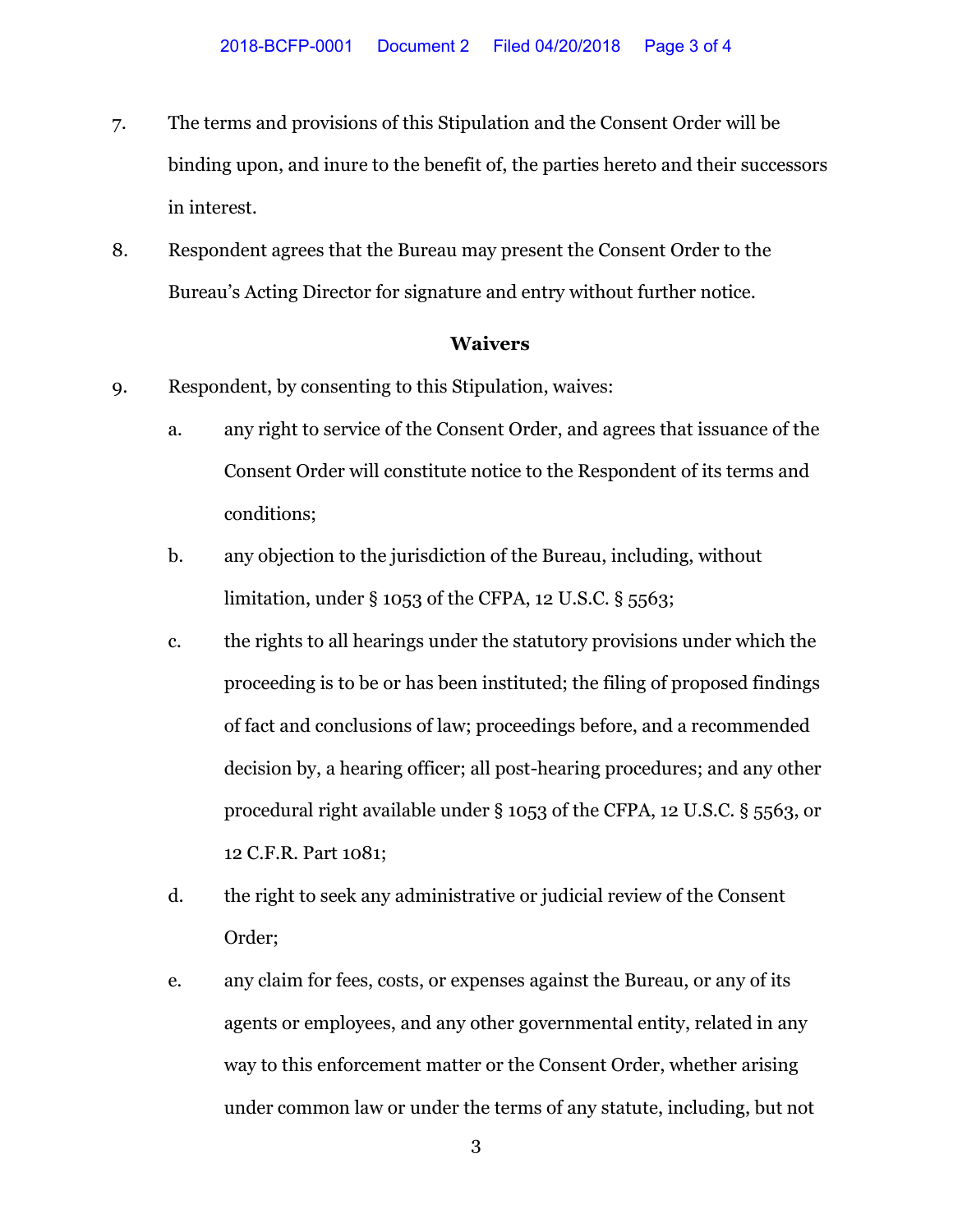- 7. The terms and provisions of this Stipulation and the Consent Order will be binding upon, and inure to the benefit of, the parties hereto and their successors in interest.
- 8. Respondent agrees that the Bureau may present the Consent Order to the Bureau's Acting Director for signature and entry without further notice.

## **Waivers**

- 9. Respondent, by consenting to this Stipulation, waives:
	- a. any right to service of the Consent Order, and agrees that issuance of the Consent Order will constitute notice to the Respondent of its terms and conditions;
	- b. any objection to the jurisdiction of the Bureau, including, without limitation, under § 1053 of the CFPA, 12 U.S.C. § 5563;
	- c. the rights to all hearings under the statutory provisions under which the proceeding is to be or has been instituted; the filing of proposed findings of fact and conclusions of law; proceedings before, and a recommended decision by, a hearing officer; all post-hearing procedures; and any other procedural right available under § 1053 of the CFPA, 12 U.S.C. § 5563, or 12 C.F.R. Part 1081;
	- d. the right to seek any administrative or judicial review of the Consent Order;
	- e. any claim for fees, costs, or expenses against the Bureau, or any of its agents or employees, and any other governmental entity, related in any way to this enforcement matter or the Consent Order, whether arising under common law or under the terms of any statute, including, but not